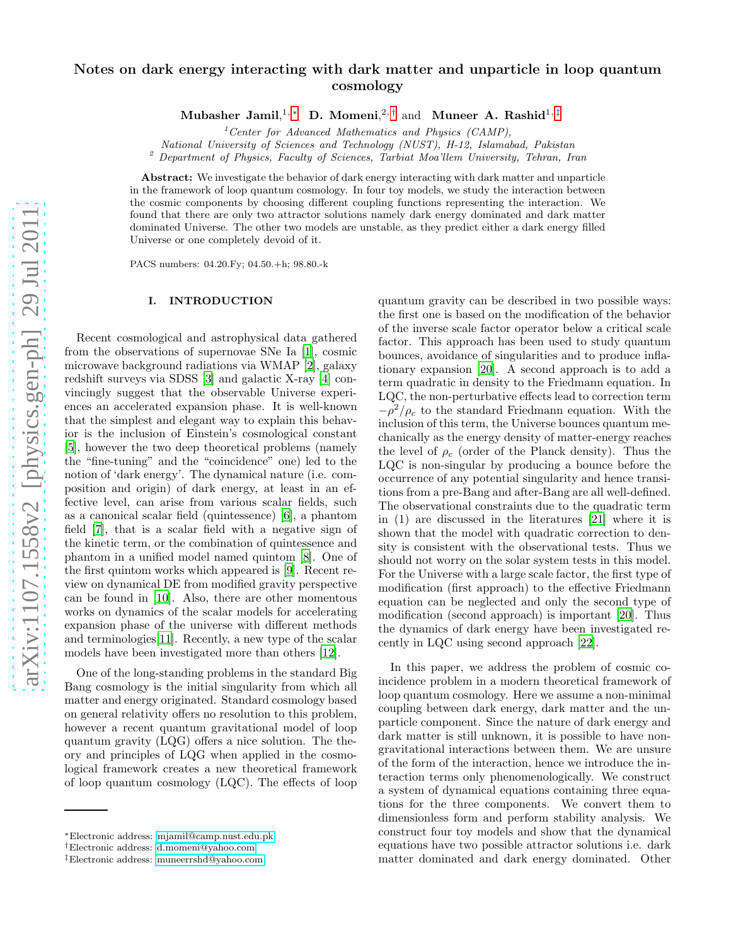# Notes on dark energy interacting with dark matter and unparticle in loop quantum cosmology

Mubasher Jamil,<sup>1,\*</sup> D. Momeni,<sup>2,[†](#page-0-1)</sup> and Muneer A. Rashid<sup>1,[‡](#page-0-2)</sup>

<sup>1</sup> Center for Advanced Mathematics and Physics (CAMP),

National University of Sciences and Technology (NUST), H-12, Islamabad, Pakistan

<sup>2</sup> Department of Physics, Faculty of Sciences, Tarbiat Moa'llem University, Tehran, Iran

Abstract: We investigate the behavior of dark energy interacting with dark matter and unparticle in the framework of loop quantum cosmology. In four toy models, we study the interaction between the cosmic components by choosing different coupling functions representing the interaction. We found that there are only two attractor solutions namely dark energy dominated and dark matter dominated Universe. The other two models are unstable, as they predict either a dark energy filled Universe or one completely devoid of it.

PACS numbers: 04.20.Fy; 04.50.+h; 98.80.-k

# I. INTRODUCTION

Recent cosmological and astrophysical data gathered from the observations of supernovae SNe Ia [\[1](#page-7-0)], cosmic microwave background radiations via WMAP [\[2](#page-7-1)], galaxy redshift surveys via SDSS [\[3](#page-7-2)] and galactic X-ray [\[4\]](#page-7-3) convincingly suggest that the observable Universe experiences an accelerated expansion phase. It is well-known that the simplest and elegant way to explain this behavior is the inclusion of Einstein's cosmological constant [\[5\]](#page-7-4), however the two deep theoretical problems (namely the "fine-tuning" and the "coincidence" one) led to the notion of 'dark energy'. The dynamical nature (i.e. composition and origin) of dark energy, at least in an effective level, can arise from various scalar fields, such as a canonical scalar field (quintessence) [\[6\]](#page-7-5), a phantom field [\[7\]](#page-7-6), that is a scalar field with a negative sign of the kinetic term, or the combination of quintessence and phantom in a unified model named quintom [\[8\]](#page-7-7). One of the first quintom works which appeared is [\[9](#page-7-8)]. Recent review on dynamical DE from modified gravity perspective can be found in [\[10](#page-7-9)]. Also, there are other momentous works on dynamics of the scalar models for accelerating expansion phase of the universe with different methods and terminologies[\[11\]](#page-7-10). Recently, a new type of the scalar models have been investigated more than others [\[12](#page-7-11)].

One of the long-standing problems in the standard Big Bang cosmology is the initial singularity from which all matter and energy originated. Standard cosmology based on general relativity offers no resolution to this problem, however a recent quantum gravitational model of loop quantum gravity (LQG) offers a nice solution. The theory and principles of LQG when applied in the cosmological framework creates a new theoretical framework of loop quantum cosmology (LQC). The effects of loop

quantum gravity can be described in two possible ways: the first one is based on the modification of the behavior of the inverse scale factor operator below a critical scale factor. This approach has been used to study quantum bounces, avoidance of singularities and to produce inflationary expansion [\[20](#page-8-0)]. A second approach is to add a term quadratic in density to the Friedmann equation. In LQC, the non-perturbative effects lead to correction term  $-\rho^2/\rho_c$  to the standard Friedmann equation. With the inclusion of this term, the Universe bounces quantum mechanically as the energy density of matter-energy reaches the level of  $\rho_c$  (order of the Planck density). Thus the LQC is non-singular by producing a bounce before the occurrence of any potential singularity and hence transitions from a pre-Bang and after-Bang are all well-defined. The observational constraints due to the quadratic term in (1) are discussed in the literatures [\[21\]](#page-8-1) where it is shown that the model with quadratic correction to density is consistent with the observational tests. Thus we should not worry on the solar system tests in this model. For the Universe with a large scale factor, the first type of modification (first approach) to the effective Friedmann equation can be neglected and only the second type of modification (second approach) is important [\[20\]](#page-8-0). Thus the dynamics of dark energy have been investigated recently in LQC using second approach [\[22](#page-8-2)].

In this paper, we address the problem of cosmic coincidence problem in a modern theoretical framework of loop quantum cosmology. Here we assume a non-minimal coupling between dark energy, dark matter and the unparticle component. Since the nature of dark energy and dark matter is still unknown, it is possible to have nongravitational interactions between them. We are unsure of the form of the interaction, hence we introduce the interaction terms only phenomenologically. We construct a system of dynamical equations containing three equations for the three components. We convert them to dimensionless form and perform stability analysis. We construct four toy models and show that the dynamical equations have two possible attractor solutions i.e. dark matter dominated and dark energy dominated. Other

<span id="page-0-0"></span><sup>∗</sup>Electronic address: [mjamil@camp.nust.edu.pk](mailto:mjamil@camp.nust.edu.pk)

<span id="page-0-1"></span><sup>†</sup>Electronic address: [d.momeni@yahoo.com](mailto:d.momeni@yahoo.com)

<span id="page-0-2"></span><sup>‡</sup>Electronic address: [muneerrshd@yahoo.com](mailto:muneerrshd@yahoo.com)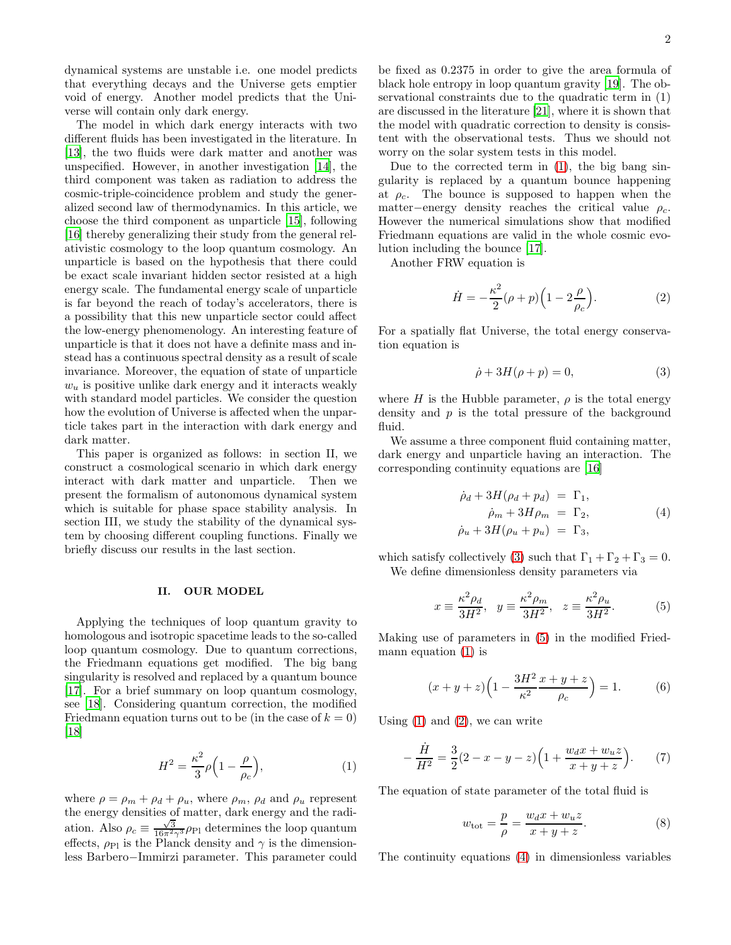dynamical systems are unstable i.e. one model predicts that everything decays and the Universe gets emptier void of energy. Another model predicts that the Universe will contain only dark energy.

The model in which dark energy interacts with two different fluids has been investigated in the literature. In [\[13\]](#page-7-12), the two fluids were dark matter and another was unspecified. However, in another investigation [\[14\]](#page-7-13), the third component was taken as radiation to address the cosmic-triple-coincidence problem and study the generalized second law of thermodynamics. In this article, we choose the third component as unparticle [\[15](#page-7-14)], following [\[16\]](#page-7-15) thereby generalizing their study from the general relativistic cosmology to the loop quantum cosmology. An unparticle is based on the hypothesis that there could be exact scale invariant hidden sector resisted at a high energy scale. The fundamental energy scale of unparticle is far beyond the reach of today's accelerators, there is a possibility that this new unparticle sector could affect the low-energy phenomenology. An interesting feature of unparticle is that it does not have a definite mass and instead has a continuous spectral density as a result of scale invariance. Moreover, the equation of state of unparticle  $w<sub>u</sub>$  is positive unlike dark energy and it interacts weakly with standard model particles. We consider the question how the evolution of Universe is affected when the unparticle takes part in the interaction with dark energy and dark matter.

This paper is organized as follows: in section II, we construct a cosmological scenario in which dark energy interact with dark matter and unparticle. Then we present the formalism of autonomous dynamical system which is suitable for phase space stability analysis. In section III, we study the stability of the dynamical system by choosing different coupling functions. Finally we briefly discuss our results in the last section.

#### II. OUR MODEL

Applying the techniques of loop quantum gravity to homologous and isotropic spacetime leads to the so-called loop quantum cosmology. Due to quantum corrections, the Friedmann equations get modified. The big bang singularity is resolved and replaced by a quantum bounce [\[17\]](#page-7-16). For a brief summary on loop quantum cosmology, see [\[18\]](#page-8-3). Considering quantum correction, the modified Friedmann equation turns out to be (in the case of  $k = 0$ ) [\[18\]](#page-8-3)

<span id="page-1-0"></span>
$$
H^2 = \frac{\kappa^2}{3}\rho\Big(1 - \frac{\rho}{\rho_c}\Big),\tag{1}
$$

where  $\rho = \rho_m + \rho_d + \rho_u$ , where  $\rho_m$ ,  $\rho_d$  and  $\rho_u$  represent the energy densities of matter, dark energy and the radiation. Also  $\rho_c \equiv \frac{\sqrt{3}}{16\pi^2\gamma^3} \rho_{\text{Pl}}$  determines the loop quantum effects,  $\rho_{\text{Pl}}$  is the Planck density and  $\gamma$  is the dimensionless Barbero−Immirzi parameter. This parameter could be fixed as 0.2375 in order to give the area formula of black hole entropy in loop quantum gravity [\[19\]](#page-8-4). The observational constraints due to the quadratic term in (1) are discussed in the literature [\[21\]](#page-8-1), where it is shown that the model with quadratic correction to density is consistent with the observational tests. Thus we should not worry on the solar system tests in this model.

Due to the corrected term in [\(1\)](#page-1-0), the big bang singularity is replaced by a quantum bounce happening at  $\rho_c$ . The bounce is supposed to happen when the matter-energy density reaches the critical value  $\rho_c$ . However the numerical simulations show that modified Friedmann equations are valid in the whole cosmic evolution including the bounce [\[17\]](#page-7-16).

Another FRW equation is

<span id="page-1-3"></span>
$$
\dot{H} = -\frac{\kappa^2}{2} (\rho + p) \left( 1 - 2 \frac{\rho}{\rho_c} \right). \tag{2}
$$

For a spatially flat Universe, the total energy conservation equation is

<span id="page-1-1"></span>
$$
\dot{\rho} + 3H(\rho + p) = 0,\tag{3}
$$

where H is the Hubble parameter,  $\rho$  is the total energy density and  $p$  is the total pressure of the background fluid.

We assume a three component fluid containing matter, dark energy and unparticle having an interaction. The corresponding continuity equations are [\[16](#page-7-15)]

<span id="page-1-4"></span>
$$
\dot{\rho}_d + 3H(\rho_d + p_d) = \Gamma_1, \n\dot{\rho}_m + 3H\rho_m = \Gamma_2, \n\dot{\rho}_u + 3H(\rho_u + p_u) = \Gamma_3,
$$
\n(4)

which satisfy collectively [\(3\)](#page-1-1) such that  $\Gamma_1 + \Gamma_2 + \Gamma_3 = 0$ . We define dimensionless density parameters via

<span id="page-1-2"></span>
$$
x \equiv \frac{\kappa^2 \rho_d}{3H^2}, \quad y \equiv \frac{\kappa^2 \rho_m}{3H^2}, \quad z \equiv \frac{\kappa^2 \rho_u}{3H^2}.
$$
 (5)

Making use of parameters in [\(5\)](#page-1-2) in the modified Friedmann equation [\(1\)](#page-1-0) is

$$
(x+y+z)\left(1 - \frac{3H^2}{\kappa^2} \frac{x+y+z}{\rho_c}\right) = 1.
$$
 (6)

Using  $(1)$  and  $(2)$ , we can write

$$
-\frac{\dot{H}}{H^2} = \frac{3}{2}(2-x-y-z)\left(1 + \frac{w_d x + w_u z}{x+y+z}\right). \tag{7}
$$

The equation of state parameter of the total fluid is

<span id="page-1-5"></span>
$$
w_{\text{tot}} = \frac{p}{\rho} = \frac{w_d x + w_u z}{x + y + z}.
$$
 (8)

The continuity equations [\(4\)](#page-1-4) in dimensionless variables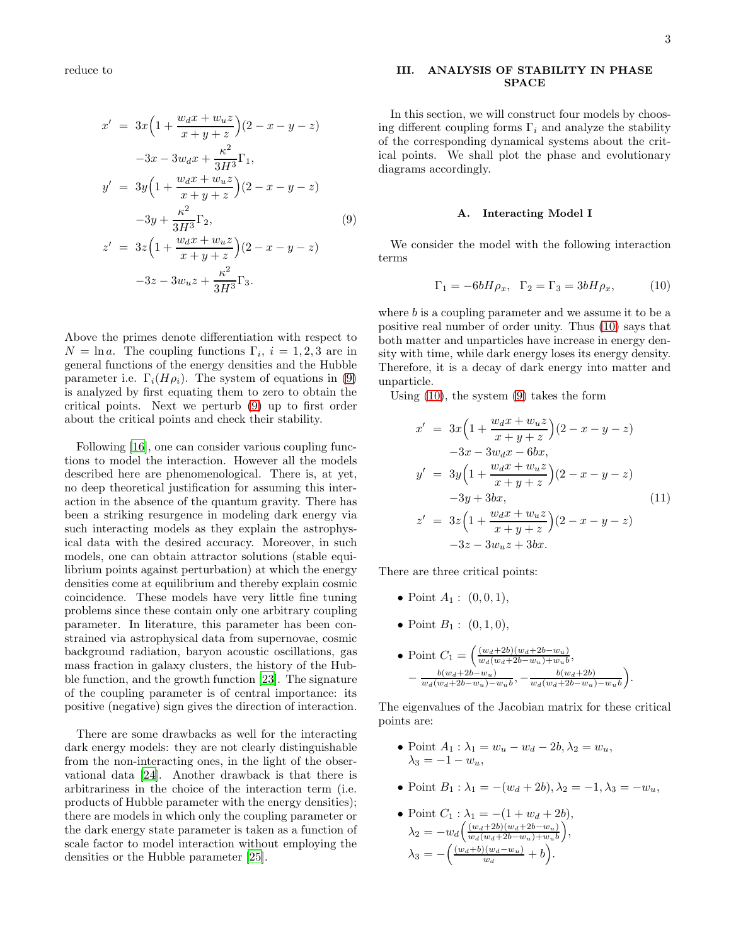reduce to

<span id="page-2-0"></span>
$$
x' = 3x\left(1 + \frac{w_d x + w_u z}{x + y + z}\right)(2 - x - y - z)
$$
  
\n
$$
-3x - 3w_d x + \frac{\kappa^2}{3H^3} \Gamma_1,
$$
  
\n
$$
y' = 3y\left(1 + \frac{w_d x + w_u z}{x + y + z}\right)(2 - x - y - z)
$$
  
\n
$$
-3y + \frac{\kappa^2}{3H^3} \Gamma_2,
$$
  
\n
$$
z' = 3z\left(1 + \frac{w_d x + w_u z}{x + y + z}\right)(2 - x - y - z)
$$
  
\n
$$
-3z - 3w_u z + \frac{\kappa^2}{3H^3} \Gamma_3.
$$
  
\n(9)

Above the primes denote differentiation with respect to  $N = \ln a$ . The coupling functions  $\Gamma_i$ ,  $i = 1, 2, 3$  are in general functions of the energy densities and the Hubble parameter i.e.  $\Gamma_i(H\rho_i)$ . The system of equations in [\(9\)](#page-2-0) is analyzed by first equating them to zero to obtain the critical points. Next we perturb [\(9\)](#page-2-0) up to first order about the critical points and check their stability.

Following [\[16](#page-7-15)], one can consider various coupling functions to model the interaction. However all the models described here are phenomenological. There is, at yet, no deep theoretical justification for assuming this interaction in the absence of the quantum gravity. There has been a striking resurgence in modeling dark energy via such interacting models as they explain the astrophysical data with the desired accuracy. Moreover, in such models, one can obtain attractor solutions (stable equilibrium points against perturbation) at which the energy densities come at equilibrium and thereby explain cosmic coincidence. These models have very little fine tuning problems since these contain only one arbitrary coupling parameter. In literature, this parameter has been constrained via astrophysical data from supernovae, cosmic background radiation, baryon acoustic oscillations, gas mass fraction in galaxy clusters, the history of the Hubble function, and the growth function [\[23\]](#page-8-5). The signature of the coupling parameter is of central importance: its positive (negative) sign gives the direction of interaction.

There are some drawbacks as well for the interacting dark energy models: they are not clearly distinguishable from the non-interacting ones, in the light of the observational data [\[24](#page-8-6)]. Another drawback is that there is arbitrariness in the choice of the interaction term (i.e. products of Hubble parameter with the energy densities); there are models in which only the coupling parameter or the dark energy state parameter is taken as a function of scale factor to model interaction without employing the densities or the Hubble parameter [\[25\]](#page-8-7).

### III. ANALYSIS OF STABILITY IN PHASE SPACE

In this section, we will construct four models by choosing different coupling forms  $\Gamma_i$  and analyze the stability of the corresponding dynamical systems about the critical points. We shall plot the phase and evolutionary diagrams accordingly.

#### A. Interacting Model I

We consider the model with the following interaction terms

<span id="page-2-1"></span>
$$
\Gamma_1 = -6bH\rho_x, \quad \Gamma_2 = \Gamma_3 = 3bH\rho_x,\tag{10}
$$

where  $b$  is a coupling parameter and we assume it to be a positive real number of order unity. Thus [\(10\)](#page-2-1) says that both matter and unparticles have increase in energy density with time, while dark energy loses its energy density. Therefore, it is a decay of dark energy into matter and unparticle.

Using [\(10\)](#page-2-1), the system [\(9\)](#page-2-0) takes the form

$$
x' = 3x\left(1 + \frac{w_d x + w_u z}{x + y + z}\right)(2 - x - y - z)
$$
  
\n
$$
-3x - 3w_d x - 6bx,
$$
  
\n
$$
y' = 3y\left(1 + \frac{w_d x + w_u z}{x + y + z}\right)(2 - x - y - z)
$$
  
\n
$$
-3y + 3bx,
$$
  
\n
$$
z' = 3z\left(1 + \frac{w_d x + w_u z}{x + y + z}\right)(2 - x - y - z)
$$
  
\n
$$
-3z - 3w_u z + 3bx.
$$
\n(11)

There are three critical points:

- Point  $A_1: (0, 0, 1),$
- Point  $B_1: (0, 1, 0),$
- Point  $C_1 = \left(\frac{(w_d+2b)(w_d+2b-w_u)}{w_d(w_d+2b-w_u)+w_u b}\right)$  $\frac{(w_d+2b)(w_d+2b-w_u)}{w_d(w_d+2b-w_u)+w_u b}$  $-\frac{b(w_d+2b-w_u)}{w_u(w_u+2b-w_u)}$  $\frac{b(w_d+2b-w_u)}{w_d(w_d+2b-w_u)-w_ub}$ ,  $-\frac{b(w_d+2b)}{w_d(w_d+2b-w_u)}$  $w_d(w_d+2b-w_u)-w_u b$  $\setminus$

The eigenvalues of the Jacobian matrix for these critical points are:

.

- Point  $A_1 : \lambda_1 = w_u w_d 2b, \lambda_2 = w_u$ ,  $\lambda_3 = -1 - w_u,$
- Point  $B_1 : \lambda_1 = -(w_d + 2b), \lambda_2 = -1, \lambda_3 = -w_u$
- Point  $C_1$  :  $\lambda_1 = -(1 + w_d + 2b)$ ,  $\lambda_2 = -w_d \left( \frac{(w_d+2b)(w_d+2b-w_u)}{w_d(w_d+2b-w_u)+w_vb} \right)$  $w_d(w_d+2b-w_u)+w_u b$  ,  $\lambda_3 = -\left(\frac{(w_d + b)(w_d - w_u)}{w_d} + b\right).$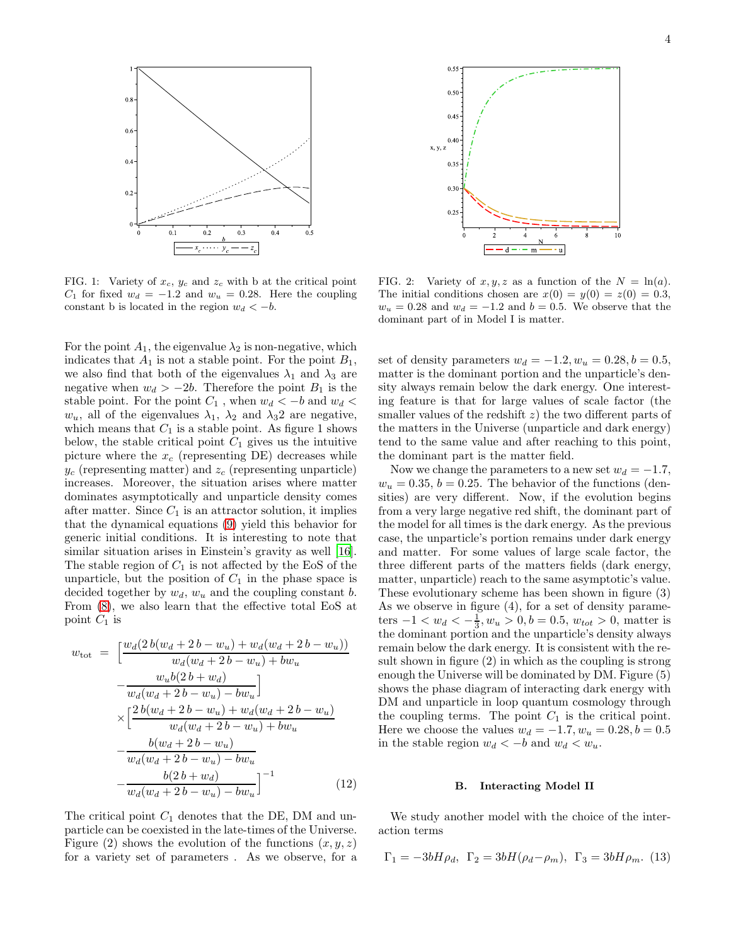

FIG. 1: Variety of  $x_c$ ,  $y_c$  and  $z_c$  with b at the critical point  $C_1$  for fixed  $w_d = -1.2$  and  $w_u = 0.28$ . Here the coupling constant b is located in the region  $w_d < -b$ .

For the point  $A_1$ , the eigenvalue  $\lambda_2$  is non-negative, which indicates that  $A_1$  is not a stable point. For the point  $B_1$ , we also find that both of the eigenvalues  $\lambda_1$  and  $\lambda_3$  are negative when  $w_d > -2b$ . Therefore the point  $B_1$  is the stable point. For the point  $C_1$ , when  $w_d < -b$  and  $w_d <$  $w_u$ , all of the eigenvalues  $\lambda_1$ ,  $\lambda_2$  and  $\lambda_3$ 2 are negative, which means that  $C_1$  is a stable point. As figure 1 shows below, the stable critical point  $C_1$  gives us the intuitive picture where the  $x_c$  (representing DE) decreases while  $y_c$  (representing matter) and  $z_c$  (representing unparticle) increases. Moreover, the situation arises where matter dominates asymptotically and unparticle density comes after matter. Since  $C_1$  is an attractor solution, it implies that the dynamical equations [\(9\)](#page-2-0) yield this behavior for generic initial conditions. It is interesting to note that similar situation arises in Einstein's gravity as well [\[16\]](#page-7-15). The stable region of  $C_1$  is not affected by the EoS of the unparticle, but the position of  $C_1$  in the phase space is decided together by  $w_d$ ,  $w_u$  and the coupling constant b. From [\(8\)](#page-1-5), we also learn that the effective total EoS at point  $C_1$  is

$$
w_{\text{tot}} = \left[ \frac{w_d(2b(w_d + 2b - w_u) + w_d(w_d + 2b - w_u))}{w_d(w_d + 2b - w_u) + bw_u} - \frac{w_u b(2b + w_d)}{w_d(w_d + 2b - w_u) - bw_u} \right] \times \left[ \frac{2b(w_d + 2b - w_u) + w_d(w_d + 2b - w_u)}{w_d(w_d + 2b - w_u) + bw_u} - \frac{b(w_d + 2b - w_u)}{w_d(w_d + 2b - w_u) - bw_u} - \frac{b(2b + w_d)}{w_d(w_d + 2b - w_u) - bw_u} \right]^{-1} \tag{12}
$$

The critical point  $C_1$  denotes that the DE, DM and unparticle can be coexisted in the late-times of the Universe. Figure (2) shows the evolution of the functions  $(x, y, z)$ for a variety set of parameters . As we observe, for a



FIG. 2: Variety of  $x, y, z$  as a function of the  $N = \ln(a)$ . The initial conditions chosen are  $x(0) = y(0) = z(0) = 0.3$ ,  $w_u = 0.28$  and  $w_d = -1.2$  and  $b = 0.5$ . We observe that the dominant part of in Model I is matter.

set of density parameters  $w_d = -1.2, w_u = 0.28, b = 0.5$ , matter is the dominant portion and the unparticle's density always remain below the dark energy. One interesting feature is that for large values of scale factor (the smaller values of the redshift  $z$ ) the two different parts of the matters in the Universe (unparticle and dark energy) tend to the same value and after reaching to this point, the dominant part is the matter field.

Now we change the parameters to a new set  $w_d = -1.7$ ,  $w_u = 0.35, b = 0.25$ . The behavior of the functions (densities) are very different. Now, if the evolution begins from a very large negative red shift, the dominant part of the model for all times is the dark energy. As the previous case, the unparticle's portion remains under dark energy and matter. For some values of large scale factor, the three different parts of the matters fields (dark energy, matter, unparticle) reach to the same asymptotic's value. These evolutionary scheme has been shown in figure (3) As we observe in figure (4), for a set of density parameters  $-1 < w_d < -\frac{1}{3}, w_u > 0, b = 0.5, w_{tot} > 0$ , matter is the dominant portion and the unparticle's density always remain below the dark energy. It is consistent with the result shown in figure (2) in which as the coupling is strong enough the Universe will be dominated by DM. Figure (5) shows the phase diagram of interacting dark energy with DM and unparticle in loop quantum cosmology through the coupling terms. The point  $C_1$  is the critical point. Here we choose the values  $w_d = -1.7, w_u = 0.28, b = 0.5$ in the stable region  $w_d < -b$  and  $w_d < w_u$ .

## B. Interacting Model II

We study another model with the choice of the interaction terms

$$
\Gamma_1 = -3bH\rho_d
$$
,  $\Gamma_2 = 3bH(\rho_d - \rho_m)$ ,  $\Gamma_3 = 3bH\rho_m$ . (13)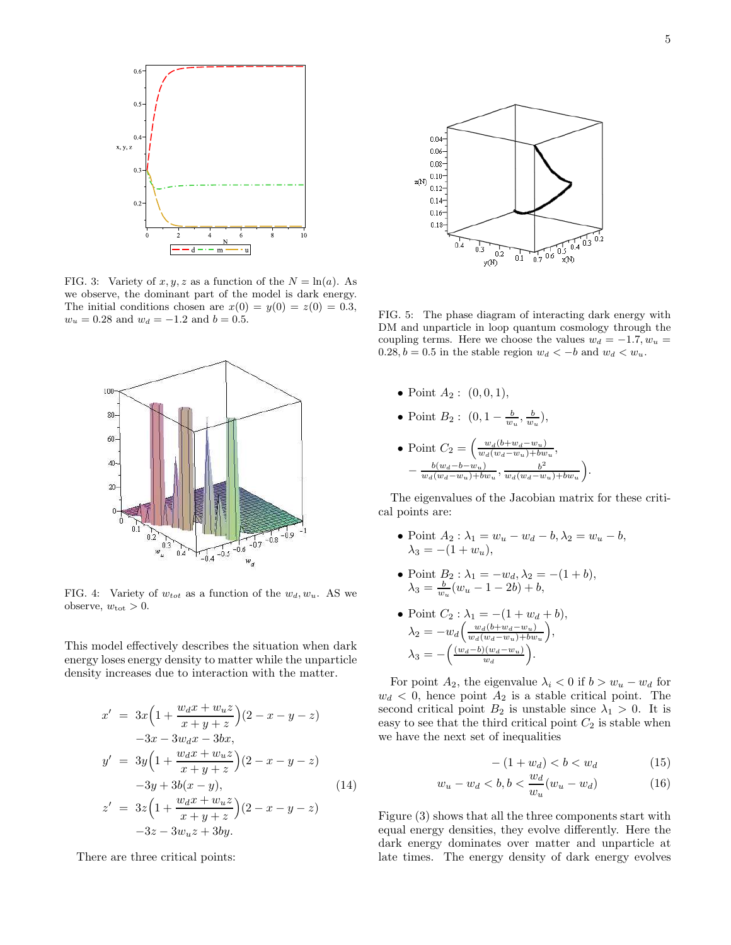

FIG. 3: Variety of  $x, y, z$  as a function of the  $N = \ln(a)$ . As we observe, the dominant part of the model is dark energy. The initial conditions chosen are  $x(0) = y(0) = z(0) = 0.3$ ,  $w_u = 0.28$  and  $w_d = -1.2$  and  $b = 0.5$ .



FIG. 4: Variety of  $w_{tot}$  as a function of the  $w_d, w_u$ . AS we observe,  $w_{\text{tot}} > 0$ .

This model effectively describes the situation when dark energy loses energy density to matter while the unparticle density increases due to interaction with the matter.

$$
x' = 3x\left(1 + \frac{w_d x + w_u z}{x + y + z}\right)(2 - x - y - z)
$$
  
\n
$$
-3x - 3w_d x - 3bx,
$$
  
\n
$$
y' = 3y\left(1 + \frac{w_d x + w_u z}{x + y + z}\right)(2 - x - y - z)
$$
  
\n
$$
-3y + 3b(x - y),
$$
  
\n
$$
z' = 3z\left(1 + \frac{w_d x + w_u z}{x + y + z}\right)(2 - x - y - z)
$$
  
\n
$$
-3z - 3w_u z + 3by.
$$
\n(14)

There are three critical points:



FIG. 5: The phase diagram of interacting dark energy with DM and unparticle in loop quantum cosmology through the coupling terms. Here we choose the values  $w_d = -1.7, w_u =$ 0.28,  $b = 0.5$  in the stable region  $w_d < -b$  and  $w_d < w_u$ .

- Point  $A_2: (0, 0, 1),$
- Point  $B_2: (0, 1 \frac{b}{w_u}, \frac{b}{w_u}),$
- Point  $C_2 = \left(\frac{w_d(b+w_d-w_u)}{w_d(w_d-w_u)+bw}\right)$  $\frac{w_d(\theta + w_d - w_u)}{w_d(w_d - w_u) + bw_u},$  $-\frac{b(w_d-b-w_u)}{w_d(w_u-y_u)+bv}$  $\frac{b(w_d-b-w_u)}{w_d(w_d-w_u)+bw_u}, \frac{b^2}{w_d(w_d-w_u)}$  $w_d(w_d-w_u)+bw_u$  $\setminus$

The eigenvalues of the Jacobian matrix for these critical points are:

- Point  $A_2: \lambda_1 = w_u w_d b, \lambda_2 = w_u b,$  $\lambda_3 = -(1 + w_u),$
- Point  $B_2$ :  $\lambda_1 = -w_d, \lambda_2 = -(1 + b),$  $\lambda_3 = \frac{b}{w_u}(w_u - 1 - 2b) + b,$
- Point  $C_2$ :  $\lambda_1 = -(1 + w_d + b),$  $\lambda_2 = -w_d \left( \frac{w_d (b + w_d - w_u)}{w_d (w_d - w_u) + bw} \right)$  $w_d(w_d-w_u)+bw_u$  ,  $\lambda_3 = -\left(\frac{(w_d-b)(w_d-w_u)}{w_d}\right).$

For point  $A_2$ , the eigenvalue  $\lambda_i < 0$  if  $b > w_u - w_d$  for  $w_d$  < 0, hence point  $A_2$  is a stable critical point. The second critical point  $B_2$  is unstable since  $\lambda_1 > 0$ . It is easy to see that the third critical point  $C_2$  is stable when we have the next set of inequalities

$$
-(1+w_d) < b < w_d \tag{15}
$$

.

$$
w_u - w_d < b, b < \frac{w_d}{w_u}(w_u - w_d) \tag{16}
$$

Figure (3) shows that all the three components start with equal energy densities, they evolve differently. Here the dark energy dominates over matter and unparticle at late times. The energy density of dark energy evolves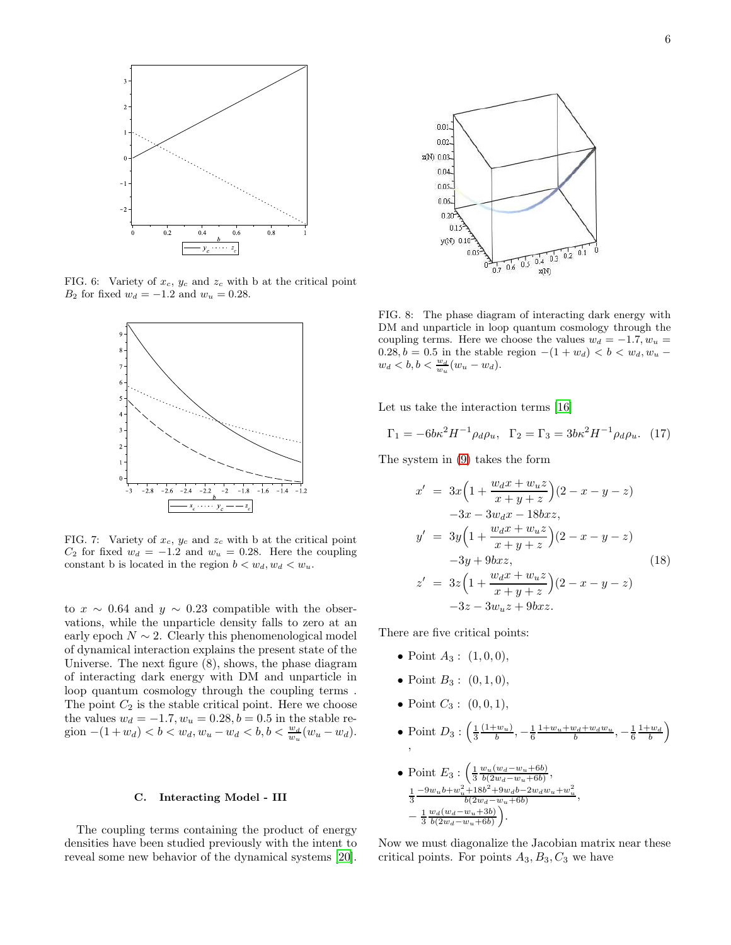

FIG. 6: Variety of  $x_c$ ,  $y_c$  and  $z_c$  with b at the critical point B<sub>2</sub> for fixed  $w_d = -1.2$  and  $w_u = 0.28$ .



FIG. 7: Variety of  $x_c$ ,  $y_c$  and  $z_c$  with b at the critical point  $C_2$  for fixed  $w_d = -1.2$  and  $w_u = 0.28$ . Here the coupling constant b is located in the region  $b < w_d, w_d < w_u$ .

to  $x \sim 0.64$  and  $y \sim 0.23$  compatible with the observations, while the unparticle density falls to zero at an early epoch  $N \sim 2$ . Clearly this phenomenological model of dynamical interaction explains the present state of the Universe. The next figure (8), shows, the phase diagram of interacting dark energy with DM and unparticle in loop quantum cosmology through the coupling terms . The point  $C_2$  is the stable critical point. Here we choose the values  $w_d = -1.7, w_u = 0.28, b = 0.5$  in the stable region  $-(1+w_d) < b < w_d, w_u - w_d < b, b < \frac{w_d}{w_u}(w_u - w_d).$ 

## C. Interacting Model - III

The coupling terms containing the product of energy densities have been studied previously with the intent to reveal some new behavior of the dynamical systems [\[20\]](#page-8-0).



FIG. 8: The phase diagram of interacting dark energy with DM and unparticle in loop quantum cosmology through the coupling terms. Here we choose the values  $w_d = -1.7, w_u =$ 0.28,  $b = 0.5$  in the stable region  $-(1 + w_d) < b < w_d, w_u$  $w_d \, < b, b < \frac{w_d}{w_u}(w_u - w_d).$ 

Let us take the interaction terms [\[16\]](#page-7-15)

$$
\Gamma_1 = -6b\kappa^2 H^{-1} \rho_d \rho_u, \ \ \Gamma_2 = \Gamma_3 = 3b\kappa^2 H^{-1} \rho_d \rho_u. \ \ (17)
$$

The system in [\(9\)](#page-2-0) takes the form

$$
x' = 3x\left(1 + \frac{w_d x + w_u z}{x + y + z}\right)(2 - x - y - z)
$$
  
\n
$$
-3x - 3w_d x - 18bxz,
$$
  
\n
$$
y' = 3y\left(1 + \frac{w_d x + w_u z}{x + y + z}\right)(2 - x - y - z)
$$
  
\n
$$
-3y + 9bxz,
$$
  
\n
$$
z' = 3z\left(1 + \frac{w_d x + w_u z}{x + y + z}\right)(2 - x - y - z)
$$
  
\n
$$
-3z - 3w_u z + 9bxz.
$$
  
\n(18)

There are five critical points:

- Point  $A_3: (1, 0, 0),$
- Point  $B_3: (0,1,0),$
- Point  $C_3: (0,0,1),$
- Point  $D_3: \left(\frac{1}{3}\right)$  $(1+w_u)$ Point  $D_3: \left(\frac{1}{3}\frac{(1+w_u)}{b}, -\frac{1}{6}\frac{1+w_u+w_d+w_dw_u}{b}, -\frac{1}{6}\frac{1+w_d}{b}\right)$  $\setminus$
- Point  $E_3: \left(\frac{1}{3} \frac{w_u(w_d-w_u+6b)}{b(2w_d-w_u+6b)}\right)$  $\frac{w_u(w_d-w_u+6b)}{b(2w_d-w_u+6b)},$  $\frac{1}{1} - 9w_u b + w_u^2 + 18b^2 + 9w_d b - 2w_d w_u + w_u^2$ 3 2 u  $b(2w_d-w_u+6b)$ , −  $\frac{1}{3} \frac{w_d(w_d-w_u+3b)}{b(2w_d-w_u+6b)}$  $b(2w_d-w_u+6b)$ .

Now we must diagonalize the Jacobian matrix near these critical points. For points  $A_3, B_3, C_3$  we have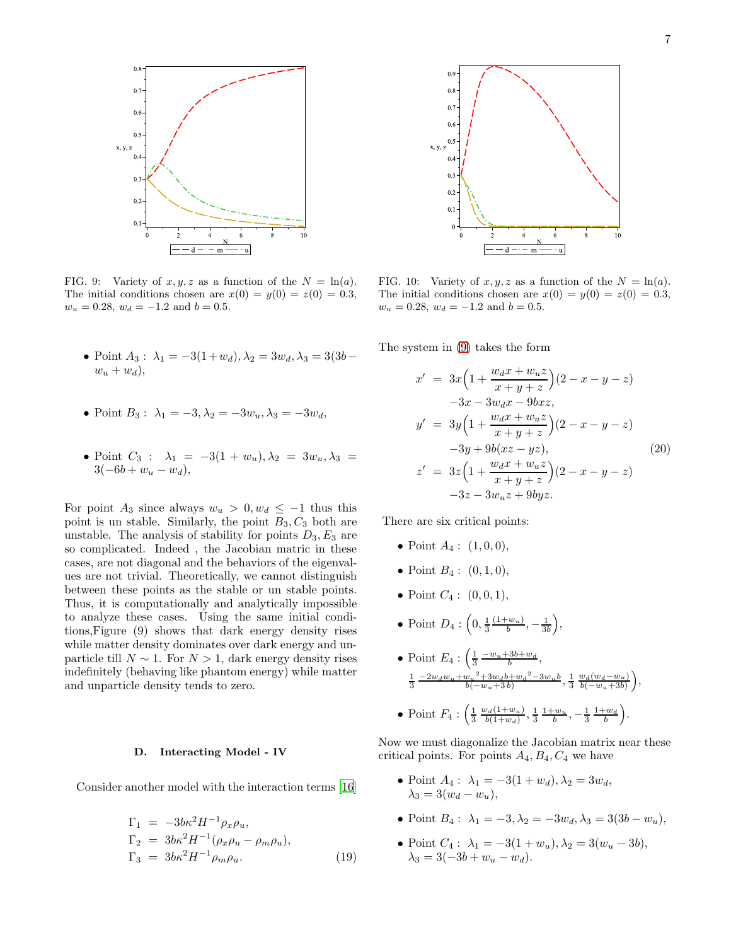

FIG. 9: Variety of  $x, y, z$  as a function of the  $N = \ln(a)$ . The initial conditions chosen are  $x(0) = y(0) = z(0) = 0.3$ ,  $w_u = 0.28$ ,  $w_d = -1.2$  and  $b = 0.5$ .

- Point  $A_3$ :  $\lambda_1 = -3(1+w_d)$ ,  $\lambda_2 = 3w_d$ ,  $\lambda_3 = 3(3b$  $w_u + w_d$ ),
- Point  $B_3: \lambda_1 = -3, \lambda_2 = -3w_u, \lambda_3 = -3w_d$ ,
- Point  $C_3$  :  $\lambda_1 = -3(1 + w_u), \lambda_2 = 3w_u, \lambda_3 =$  $3(-6b + w_u - w_d),$

For point A<sub>3</sub> since always  $w_u > 0, w_d \leq -1$  thus this point is un stable. Similarly, the point  $B_3, C_3$  both are unstable. The analysis of stability for points  $D_3, E_3$  are so complicated. Indeed , the Jacobian matric in these cases, are not diagonal and the behaviors of the eigenvalues are not trivial. Theoretically, we cannot distinguish between these points as the stable or un stable points. Thus, it is computationally and analytically impossible to analyze these cases. Using the same initial conditions,Figure (9) shows that dark energy density rises while matter density dominates over dark energy and unparticle till  $N \sim 1$ . For  $N > 1$ , dark energy density rises indefinitely (behaving like phantom energy) while matter and unparticle density tends to zero.

#### D. Interacting Model - IV

Consider another model with the interaction terms [\[16](#page-7-15)]

$$
\Gamma_1 = -3b\kappa^2 H^{-1} \rho_x \rho_u,\n\Gamma_2 = 3b\kappa^2 H^{-1} (\rho_x \rho_u - \rho_m \rho_u),\n\Gamma_3 = 3b\kappa^2 H^{-1} \rho_m \rho_u.
$$
\n(19)



FIG. 10: Variety of  $x, y, z$  as a function of the  $N = \ln(a)$ . The initial conditions chosen are  $x(0) = y(0) = z(0) = 0.3$ ,  $w_u = 0.28$ ,  $w_d = -1.2$  and  $b = 0.5$ .

The system in [\(9\)](#page-2-0) takes the form

$$
x' = 3x\left(1 + \frac{w_d x + w_u z}{x + y + z}\right)(2 - x - y - z)
$$
  
\n
$$
-3x - 3w_d x - 9bxz,
$$
  
\n
$$
y' = 3y\left(1 + \frac{w_d x + w_u z}{x + y + z}\right)(2 - x - y - z)
$$
  
\n
$$
-3y + 9b(xz - yz),
$$
  
\n
$$
z' = 3z\left(1 + \frac{w_d x + w_u z}{x + y + z}\right)(2 - x - y - z)
$$
  
\n
$$
-3z - 3w_u z + 9byz.
$$
  
\n(20)

There are six critical points:

- Point  $A_4$ :  $(1, 0, 0)$ ,
- Point  $B_4: (0,1,0),$
- Point  $C_4$ :  $(0, 0, 1)$ ,
- Point  $D_4: \left(0, \frac{1}{3}\right)$  $(1+w_u)$  $\frac{(-w_u)}{b}, -\frac{1}{3b}\bigg),$
- Point  $E_4: \left(\frac{1}{3} \frac{-w_u + 3b + w_d}{b}, \frac{b_u}{b_u}\right)$  $\frac{1}{3}$   $\frac{-2w_dw_u+w_u^2+3w_db+w_d^2-3w_ub}{b(-w_u+3\,b)}, \frac{1}{3}$   $\frac{w_d(w_d-w_u)}{b(-w_u+3b)}$  $b(-w_u+3b)$  $\big),$
- Point  $F_4$  :  $\left(\frac{1}{3}\right)$  $w_d(1+w_u)$  $\frac{v_d(1+w_u)}{b(1+w_d)}, \frac{1}{3} \frac{1+w_u}{b}, -\frac{1}{3} \frac{1+w_d}{b}$ .

Now we must diagonalize the Jacobian matrix near these critical points. For points  $A_4, B_4, C_4$  we have

- Point  $A_4$ :  $\lambda_1 = -3(1 + w_d), \lambda_2 = 3w_d,$  $\lambda_3 = 3(w_d - w_u),$
- Point  $B_4$ :  $\lambda_1 = -3, \lambda_2 = -3w_d, \lambda_3 = 3(3b w_u)$ ,
- Point  $C_4$ :  $\lambda_1 = -3(1 + w_u), \lambda_2 = 3(w_u 3b),$  $\lambda_3 = 3(-3b + w_u - w_d).$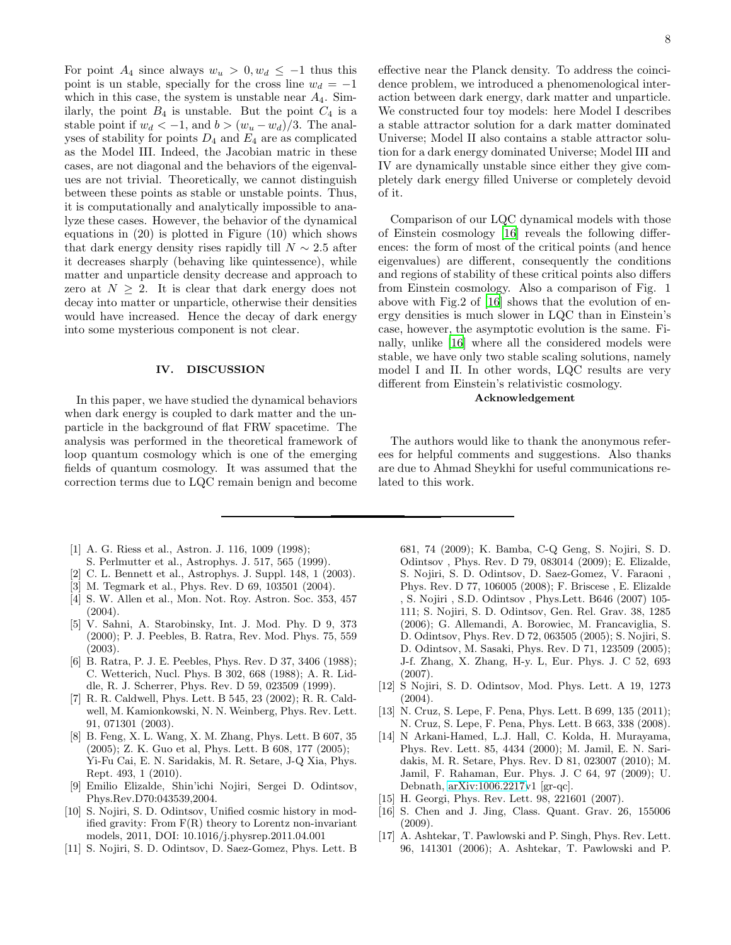For point  $A_4$  since always  $w_u > 0, w_d \leq -1$  thus this point is un stable, specially for the cross line  $w_d = -1$ which in this case, the system is unstable near  $A_4$ . Similarly, the point  $B_4$  is unstable. But the point  $C_4$  is a stable point if  $w_d < -1$ , and  $b > (w_u - w_d)/3$ . The analyses of stability for points  $D_4$  and  $E_4$  are as complicated as the Model III. Indeed, the Jacobian matric in these cases, are not diagonal and the behaviors of the eigenvalues are not trivial. Theoretically, we cannot distinguish between these points as stable or unstable points. Thus, it is computationally and analytically impossible to analyze these cases. However, the behavior of the dynamical equations in (20) is plotted in Figure (10) which shows that dark energy density rises rapidly till  $N \sim 2.5$  after it decreases sharply (behaving like quintessence), while matter and unparticle density decrease and approach to zero at  $N \geq 2$ . It is clear that dark energy does not decay into matter or unparticle, otherwise their densities would have increased. Hence the decay of dark energy into some mysterious component is not clear.

### IV. DISCUSSION

In this paper, we have studied the dynamical behaviors when dark energy is coupled to dark matter and the unparticle in the background of flat FRW spacetime. The analysis was performed in the theoretical framework of loop quantum cosmology which is one of the emerging fields of quantum cosmology. It was assumed that the correction terms due to LQC remain benign and become

- <span id="page-7-0"></span>[1] A. G. Riess et al., Astron. J. 116, 1009 (1998);
- S. Perlmutter et al., Astrophys. J. 517, 565 (1999).
- <span id="page-7-1"></span>[2] C. L. Bennett et al., Astrophys. J. Suppl. 148, 1 (2003).
- <span id="page-7-2"></span>[3] M. Tegmark et al., Phys. Rev. D 69, 103501 (2004).
- <span id="page-7-3"></span>[4] S. W. Allen et al., Mon. Not. Roy. Astron. Soc. 353, 457 (2004).
- <span id="page-7-4"></span>[5] V. Sahni, A. Starobinsky, Int. J. Mod. Phy. D 9, 373 (2000); P. J. Peebles, B. Ratra, Rev. Mod. Phys. 75, 559 (2003).
- <span id="page-7-5"></span>[6] B. Ratra, P. J. E. Peebles, Phys. Rev. D 37, 3406 (1988); C. Wetterich, Nucl. Phys. B 302, 668 (1988); A. R. Liddle, R. J. Scherrer, Phys. Rev. D 59, 023509 (1999).
- <span id="page-7-6"></span>[7] R. R. Caldwell, Phys. Lett. B 545, 23 (2002); R. R. Caldwell, M. Kamionkowski, N. N. Weinberg, Phys. Rev. Lett. 91, 071301 (2003).
- <span id="page-7-7"></span>[8] B. Feng, X. L. Wang, X. M. Zhang, Phys. Lett. B 607, 35 (2005); Z. K. Guo et al, Phys. Lett. B 608, 177 (2005); Yi-Fu Cai, E. N. Saridakis, M. R. Setare, J-Q Xia, Phys. Rept. 493, 1 (2010).
- <span id="page-7-8"></span>[9] Emilio Elizalde, Shin'ichi Nojiri, Sergei D. Odintsov, Phys.Rev.D70:043539,2004.
- <span id="page-7-9"></span>[10] S. Nojiri, S. D. Odintsov, Unified cosmic history in modified gravity: From  $F(R)$  theory to Lorentz non-invariant models, 2011, DOI: 10.1016/j.physrep.2011.04.001
- <span id="page-7-10"></span>[11] S. Nojiri, S. D. Odintsov, D. Saez-Gomez, Phys. Lett. B

effective near the Planck density. To address the coincidence problem, we introduced a phenomenological interaction between dark energy, dark matter and unparticle. We constructed four toy models: here Model I describes a stable attractor solution for a dark matter dominated Universe; Model II also contains a stable attractor solution for a dark energy dominated Universe; Model III and IV are dynamically unstable since either they give completely dark energy filled Universe or completely devoid of it.

Comparison of our LQC dynamical models with those of Einstein cosmology [\[16](#page-7-15)] reveals the following differences: the form of most of the critical points (and hence eigenvalues) are different, consequently the conditions and regions of stability of these critical points also differs from Einstein cosmology. Also a comparison of Fig. 1 above with Fig.2 of [\[16\]](#page-7-15) shows that the evolution of energy densities is much slower in LQC than in Einstein's case, however, the asymptotic evolution is the same. Finally, unlike [\[16\]](#page-7-15) where all the considered models were stable, we have only two stable scaling solutions, namely model I and II. In other words, LQC results are very different from Einstein's relativistic cosmology.

# Acknowledgement

The authors would like to thank the anonymous referees for helpful comments and suggestions. Also thanks are due to Ahmad Sheykhi for useful communications related to this work.

681, 74 (2009); K. Bamba, C-Q Geng, S. Nojiri, S. D. Odintsov , Phys. Rev. D 79, 083014 (2009); E. Elizalde, S. Nojiri, S. D. Odintsov, D. Saez-Gomez, V. Faraoni , Phys. Rev. D 77, 106005 (2008); F. Briscese , E. Elizalde , S. Nojiri , S.D. Odintsov , Phys.Lett. B646 (2007) 105- 111; S. Nojiri, S. D. Odintsov, Gen. Rel. Grav. 38, 1285 (2006); G. Allemandi, A. Borowiec, M. Francaviglia, S. D. Odintsov, Phys. Rev. D 72, 063505 (2005); S. Nojiri, S. D. Odintsov, M. Sasaki, Phys. Rev. D 71, 123509 (2005); J-f. Zhang, X. Zhang, H-y. L, Eur. Phys. J. C 52, 693 (2007).

- <span id="page-7-11"></span>[12] S Nojiri, S. D. Odintsov, Mod. Phys. Lett. A 19, 1273 (2004).
- <span id="page-7-12"></span>[13] N. Cruz, S. Lepe, F. Pena, Phys. Lett. B 699, 135 (2011); N. Cruz, S. Lepe, F. Pena, Phys. Lett. B 663, 338 (2008).
- <span id="page-7-13"></span>[14] N Arkani-Hamed, L.J. Hall, C. Kolda, H. Murayama, Phys. Rev. Lett. 85, 4434 (2000); M. Jamil, E. N. Saridakis, M. R. Setare, Phys. Rev. D 81, 023007 (2010); M. Jamil, F. Rahaman, Eur. Phys. J. C 64, 97 (2009); U. Debnath, [arXiv:1006.2217v](http://arxiv.org/abs/1006.2217)1 [gr-qc].
- <span id="page-7-14"></span>[15] H. Georgi, Phys. Rev. Lett. 98, 221601 (2007).
- <span id="page-7-15"></span>[16] S. Chen and J. Jing, Class. Quant. Grav. 26, 155006 (2009).
- <span id="page-7-16"></span>[17] A. Ashtekar, T. Pawlowski and P. Singh, Phys. Rev. Lett. 96, 141301 (2006); A. Ashtekar, T. Pawlowski and P.